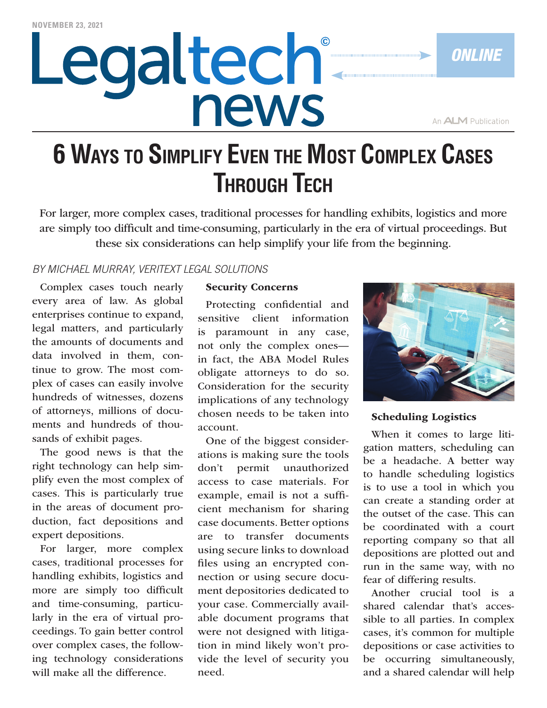# Legaltech® news

An **ALM** Publication

*ONLINE*

# **6 Ways to Simplify Even the Most Complex Cases Through Tech**

For larger, more complex cases, traditional processes for handling exhibits, logistics and more are simply too difficult and time-consuming, particularly in the era of virtual proceedings. But these six considerations can help simplify your life from the beginning.

# *BY MICHAEL MURRAY, VERITEXT LEGAL SOLUTIONS*

Complex cases touch nearly every area of law. As global enterprises continue to expand, legal matters, and particularly the amounts of documents and data involved in them, continue to grow. The most complex of cases can easily involve hundreds of witnesses, dozens of attorneys, millions of documents and hundreds of thousands of exhibit pages.

The good news is that the right technology can help simplify even the most complex of cases. This is particularly true in the areas of document production, fact depositions and expert depositions.

For larger, more complex cases, traditional processes for handling exhibits, logistics and more are simply too difficult and time-consuming, particularly in the era of virtual proceedings. To gain better control over complex cases, the following technology considerations will make all the difference.

#### Security Concerns

Protecting confidential and sensitive client information is paramount in any case, not only the complex ones in fact, the ABA Model Rules obligate attorneys to do so. Consideration for the security implications of any technology chosen needs to be taken into account.

One of the biggest considerations is making sure the tools don't permit unauthorized access to case materials. For example, email is not a sufficient mechanism for sharing case documents. Better options are to transfer documents using secure links to download files using an encrypted connection or using secure document depositories dedicated to your case. Commercially available document programs that were not designed with litigation in mind likely won't provide the level of security you need.



Scheduling Logistics

When it comes to large litigation matters, scheduling can be a headache. A better way to handle scheduling logistics is to use a tool in which you can create a standing order at the outset of the case. This can be coordinated with a court reporting company so that all depositions are plotted out and run in the same way, with no fear of differing results.

Another crucial tool is a shared calendar that's accessible to all parties. In complex cases, it's common for multiple depositions or case activities to be occurring simultaneously, and a shared calendar will help